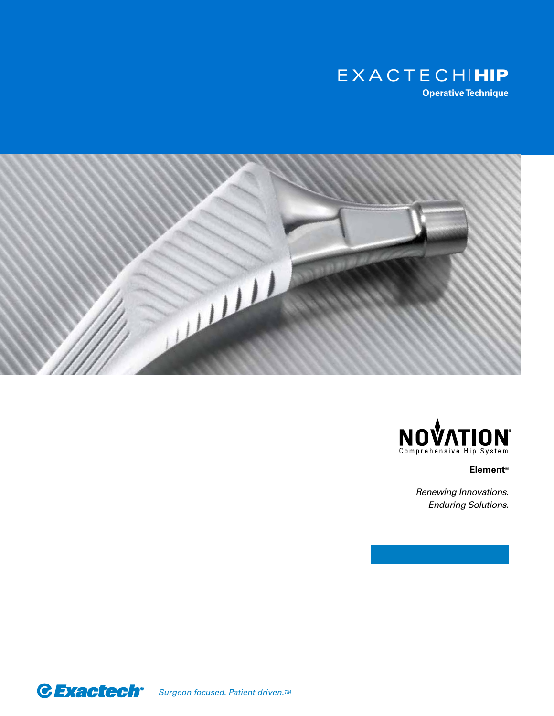





**Element®**

*Renewing Innovations. Enduring Solutions.*

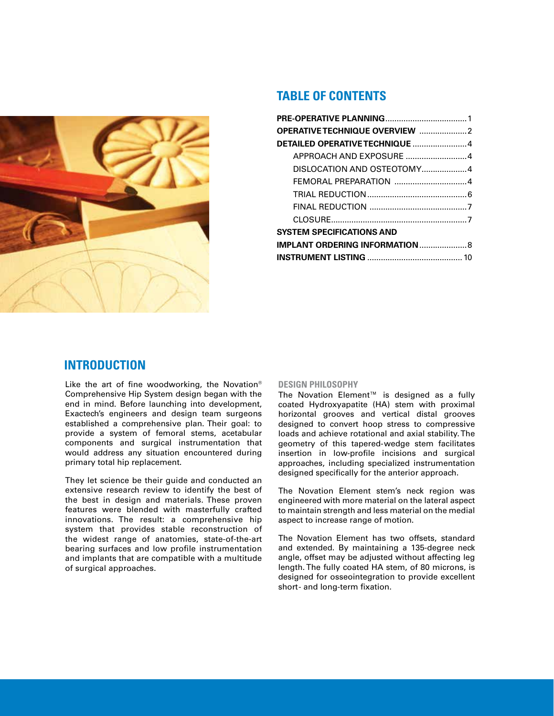

# **TABLE OF CONTENTS**

| DETAILED OPERATIVE TECHNIQUE 4         |  |
|----------------------------------------|--|
| APPROACH AND EXPOSURE 4                |  |
| DISLOCATION AND OSTEOTOMY4             |  |
| FEMORAL PREPARATION 4                  |  |
|                                        |  |
|                                        |  |
|                                        |  |
| <b>SYSTEM SPECIFICATIONS AND</b>       |  |
| <b>IMPLANT ORDERING INFORMATION  8</b> |  |
|                                        |  |

# **INTRODUCTION**

Like the art of fine woodworking, the Novation® Comprehensive Hip System design began with the end in mind. Before launching into development, Exactech's engineers and design team surgeons established a comprehensive plan. Their goal: to provide a system of femoral stems, acetabular components and surgical instrumentation that would address any situation encountered during primary total hip replacement.

They let science be their guide and conducted an extensive research review to identify the best of the best in design and materials. These proven features were blended with masterfully crafted innovations. The result: a comprehensive hip system that provides stable reconstruction of the widest range of anatomies, state-of-the-art bearing surfaces and low profile instrumentation and implants that are compatible with a multitude of surgical approaches.

#### **DESIGN PHILOSOPHY**

The Novation Element™ is designed as a fully coated Hydroxyapatite (HA) stem with proximal horizontal grooves and vertical distal grooves designed to convert hoop stress to compressive loads and achieve rotational and axial stability. The geometry of this tapered-wedge stem facilitates insertion in low-profile incisions and surgical approaches, including specialized instrumentation designed specifically for the anterior approach.

The Novation Element stem's neck region was engineered with more material on the lateral aspect to maintain strength and less material on the medial aspect to increase range of motion.

The Novation Element has two offsets, standard and extended. By maintaining a 135-degree neck angle, offset may be adjusted without affecting leg length. The fully coated HA stem, of 80 microns, is designed for osseointegration to provide excellent short- and long-term fixation.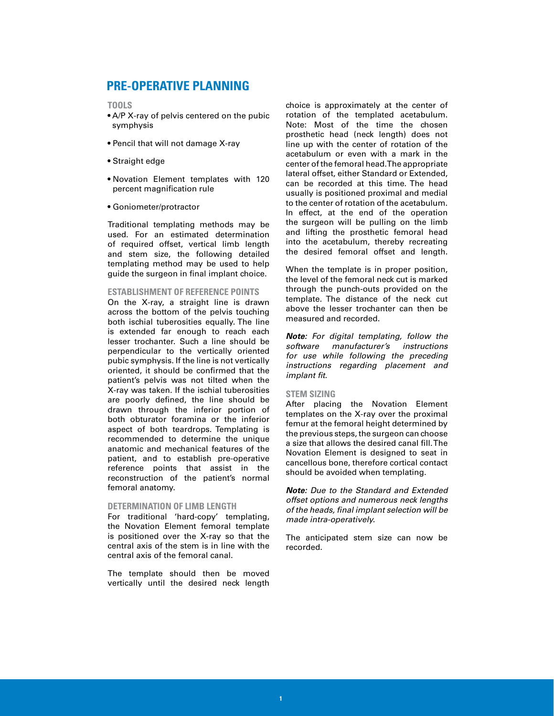# **PRE-OPERATIVE PLANNING**

**TOOLS**

- A/P X-ray of pelvis centered on the pubic symphysis
- Pencil that will not damage X-ray
- Straight edge
- Novation Element templates with 120 percent magnification rule
- Goniometer/protractor

Traditional templating methods may be used. For an estimated determination of required offset, vertical limb length and stem size, the following detailed templating method may be used to help guide the surgeon in final implant choice.

#### **ESTABLISHMENT OF REFERENCE POINTS**

On the X-ray, a straight line is drawn across the bottom of the pelvis touching both ischial tuberosities equally. The line is extended far enough to reach each lesser trochanter. Such a line should be perpendicular to the vertically oriented pubic symphysis. If the line is not vertically oriented, it should be confirmed that the patient's pelvis was not tilted when the X-ray was taken. If the ischial tuberosities are poorly defined, the line should be drawn through the inferior portion of both obturator foramina or the inferior aspect of both teardrops. Templating is recommended to determine the unique anatomic and mechanical features of the patient, and to establish pre-operative reference points that assist in the reconstruction of the patient's normal femoral anatomy.

#### **DETERMINATION OF LIMB LENGTH**

For traditional 'hard-copy' templating, the Novation Element femoral template is positioned over the X-ray so that the central axis of the stem is in line with the central axis of the femoral canal.

The template should then be moved vertically until the desired neck length

choice is approximately at the center of rotation of the templated acetabulum. Note: Most of the time the chosen prosthetic head (neck length) does not line up with the center of rotation of the acetabulum or even with a mark in the center of the femoral head. The appropriate lateral offset, either Standard or Extended, can be recorded at this time. The head usually is positioned proximal and medial to the center of rotation of the acetabulum. In effect, at the end of the operation the surgeon will be pulling on the limb and lifting the prosthetic femoral head into the acetabulum, thereby recreating the desired femoral offset and length.

When the template is in proper position, the level of the femoral neck cut is marked through the punch-outs provided on the template. The distance of the neck cut above the lesser trochanter can then be measured and recorded.

*Note: For digital templating, follow the software manufacturer's instructions for use while following the preceding instructions regarding placement and implant fit.*

#### **STEM SIZING**

After placing the Novation Element templates on the X-ray over the proximal femur at the femoral height determined by the previous steps, the surgeon can choose a size that allows the desired canal fill. The Novation Element is designed to seat in cancellous bone, therefore cortical contact should be avoided when templating.

*Note: Due to the Standard and Extended offset options and numerous neck lengths of the heads, final implant selection will be made intra-operatively.*

The anticipated stem size can now be recorded.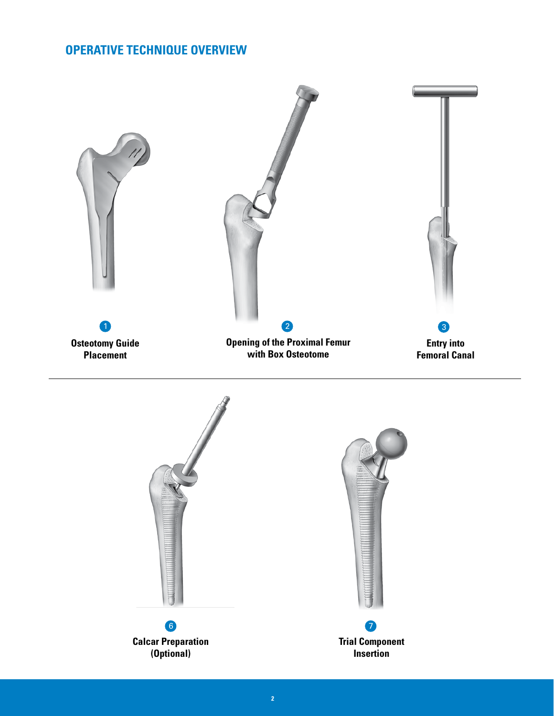# **OPERATIVE TECHNIQUE OVERVIEW**

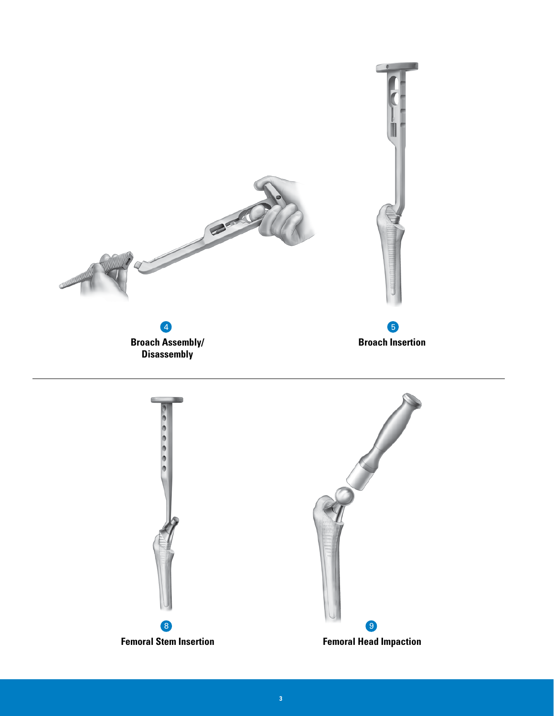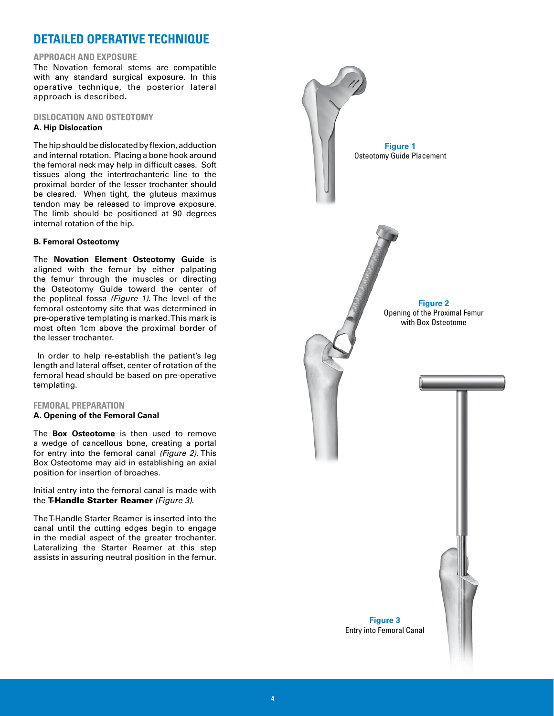# **DETAILED OPERATIVE TECHNIQUE**

#### **APPROACH AND EXPOSURE**

The Novation femoral stems are compatible with any standard surgical exposure. In this operative technique, the posterior lateral approach is described.

### **DISLOCATION AND OSTEOTOMY A. Hip Dislocation**

The hip should be dislocated by flexion, adduction and internal rotation. Placing a bone hook around the femoral neck may help in difficult cases. Soft tissues along the intertrochanteric line to the proximal border of the lesser trochanter should be cleared. When tight, the gluteus maximus tendon may be released to improve exposure. The limb should be positioned at 90 degrees internal rotation of the hip.

#### **B. Femoral Osteotomy**

The **Novation Element Osteotomy Guide** is aligned with the femur by either palpating the femur through the muscles or directing the Osteotomy Guide toward the center of the popliteal fossa *(Figure 1)*. The level of the femoral osteotomy site that was determined in pre-operative templating is marked. This mark is most often 1cm above the proximal border of the lesser trochanter.

In order to help re-establish the patient's leg length and lateral offset, center of rotation of the femoral head should be based on pre-operative templating.

#### **FEMORAL PREPARATION**

#### **A. Opening of the Femoral Canal**

The **Box Osteotome** is then used to remove a wedge of cancellous bone, creating a portal for entry into the femoral canal *(Figure 2)*. This Box Osteotome may aid in establishing an axial position for insertion of broaches.

Initial entry into the femoral canal is made with the T-Handle Starter Reamer *(Figure 3)*.

The T-Handle Starter Reamer is inserted into the canal until the cutting edges begin to engage in the medial aspect of the greater trochanter. Lateralizing the Starter Reamer at this step assists in assuring neutral position in the femur.

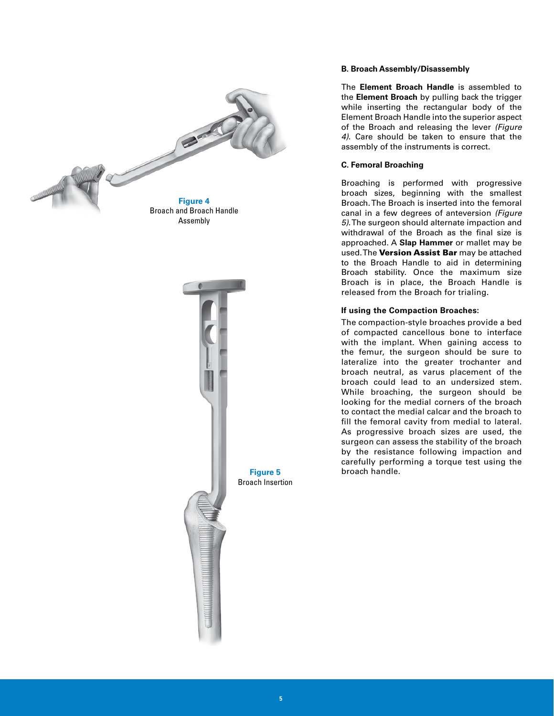



**Figure 5** Broach Insertion

#### **B. Broach Assembly/Disassembly**

The **Element Broach Handle** is assembled to the **Element Broach** by pulling back the trigger while inserting the rectangular body of the Element Broach Handle into the superior aspect of the Broach and releasing the lever *(Figure 4)*. Care should be taken to ensure that the assembly of the instruments is correct.

### **C. Femoral Broaching**

Broaching is performed with progressive broach sizes, beginning with the smallest Broach. The Broach is inserted into the femoral canal in a few degrees of anteversion *(Figure 5)*. The surgeon should alternate impaction and withdrawal of the Broach as the final size is approached. A **Slap Hammer** or mallet may be used. The Version Assist Bar may be attached to the Broach Handle to aid in determining Broach stability. Once the maximum size Broach is in place, the Broach Handle is released from the Broach for trialing.

## **If using the Compaction Broaches:**

The compaction-style broaches provide a bed of compacted cancellous bone to interface with the implant. When gaining access to the femur, the surgeon should be sure to lateralize into the greater trochanter and broach neutral, as varus placement of the broach could lead to an undersized stem. While broaching, the surgeon should be looking for the medial corners of the broach to contact the medial calcar and the broach to fill the femoral cavity from medial to lateral. As progressive broach sizes are used, the surgeon can assess the stability of the broach by the resistance following impaction and carefully performing a torque test using the broach handle.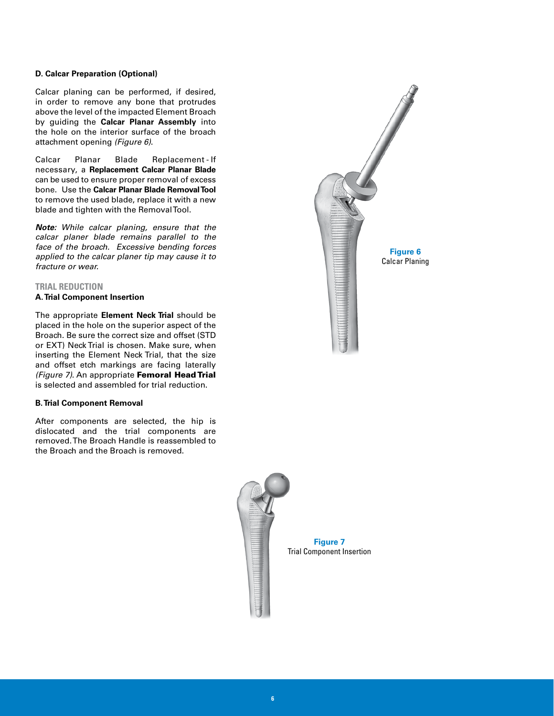#### **D. Calcar Preparation (Optional)**

Calcar planing can be performed, if desired, in order to remove any bone that protrudes above the level of the impacted Element Broach by guiding the **Calcar Planar Assembly** into the hole on the interior surface of the broach attachment opening *(Figure 6)*.

Calcar Planar Blade Replacement - If necessary, a **Replacement Calcar Planar Blade** can be used to ensure proper removal of excess bone. Use the **Calcar Planar Blade Removal Tool** to remove the used blade, replace it with a new blade and tighten with the Removal Tool.

*Note: While calcar planing, ensure that the calcar planer blade remains parallel to the face of the broach. Excessive bending forces applied to the calcar planer tip may cause it to fracture or wear.*

#### **TRIAL REDUCTION**

#### **A. Trial Component Insertion**

The appropriate **Element Neck Trial** should be placed in the hole on the superior aspect of the Broach. Be sure the correct size and offset (STD or EXT) Neck Trial is chosen. Make sure, when inserting the Element Neck Trial, that the size and offset etch markings are facing laterally *(Figure 7)*. An appropriate Femoral Head Trial is selected and assembled for trial reduction.

#### **B. Trial Component Removal**

After components are selected, the hip is dislocated and the trial components are removed. The Broach Handle is reassembled to the Broach and the Broach is removed.





**Figure 7** Trial Component Insertion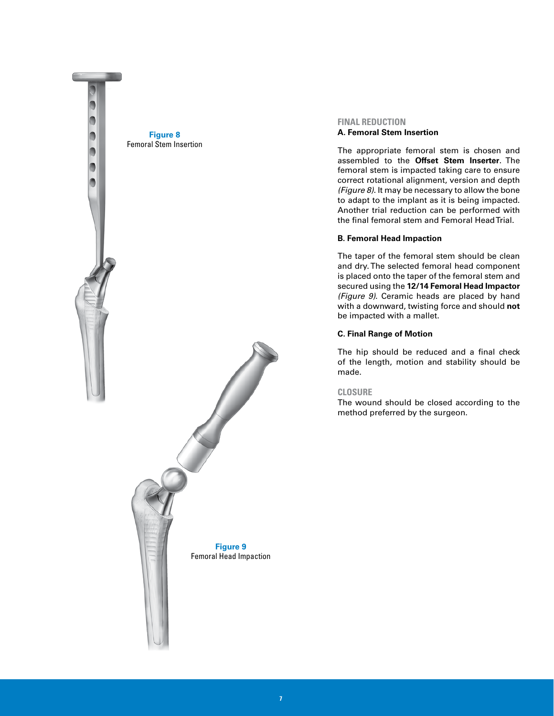

## **FINAL REDUCTION A. Femoral Stem Insertion**

The appropriate femoral stem is chosen and assembled to the **Offset Stem Inserter**. The femoral stem is impacted taking care to ensure correct rotational alignment, version and depth *(Figure 8)*. It may be necessary to allow the bone to adapt to the implant as it is being impacted. Another trial reduction can be performed with the final femoral stem and Femoral Head Trial.

## **B. Femoral Head Impaction**

The taper of the femoral stem should be clean and dry. The selected femoral head component is placed onto the taper of the femoral stem and secured using the **12/14 Femoral Head Impactor** *(Figure 9)*. Ceramic heads are placed by hand with a downward, twisting force and should **not** be impacted with a mallet.

## **C. Final Range of Motion**

The hip should be reduced and a final check of the length, motion and stability should be made.

## **CLOSURE**

The wound should be closed according to the method preferred by the surgeon.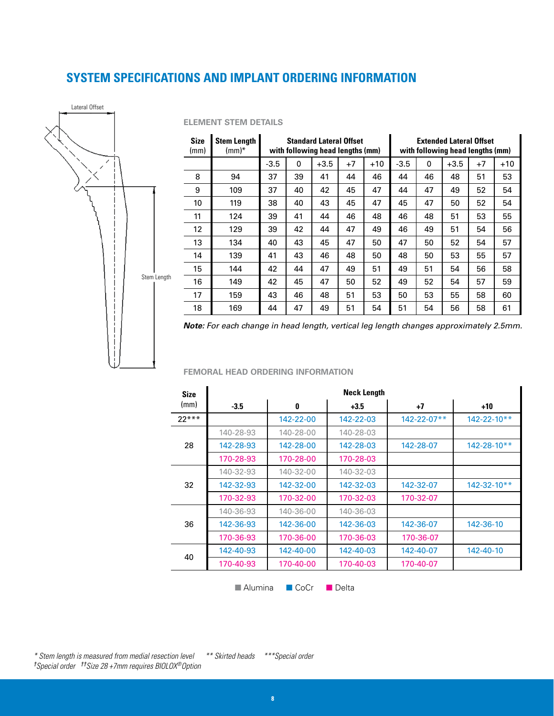# **SYSTEM SPECIFICATIONS AND IMPLANT ORDERING INFORMATION**



## **ELEMENT STEM DETAILS**

| <b>Size</b><br>(mm) | <b>Stem Length</b><br>$\text{(mm)}^*$ | <b>Standard Lateral Offset</b><br>with following head lengths (mm) |          |        |      |       | <b>Extended Lateral Offset</b><br>with following head lengths (mm) |          |        |      |       |
|---------------------|---------------------------------------|--------------------------------------------------------------------|----------|--------|------|-------|--------------------------------------------------------------------|----------|--------|------|-------|
|                     |                                       | $-3.5$                                                             | $\Omega$ | $+3.5$ | $+7$ | $+10$ | $-3.5$                                                             | $\Omega$ | $+3.5$ | $+7$ | $+10$ |
| 8                   | 94                                    | 37                                                                 | 39       | 41     | 44   | 46    | 44                                                                 | 46       | 48     | 51   | 53    |
| 9                   | 109                                   | 37                                                                 | 40       | 42     | 45   | 47    | 44                                                                 | 47       | 49     | 52   | 54    |
| 10                  | 119                                   | 38                                                                 | 40       | 43     | 45   | 47    | 45                                                                 | 47       | 50     | 52   | 54    |
| 11                  | 124                                   | 39                                                                 | 41       | 44     | 46   | 48    | 46                                                                 | 48       | 51     | 53   | 55    |
| 12                  | 129                                   | 39                                                                 | 42       | 44     | 47   | 49    | 46                                                                 | 49       | 51     | 54   | 56    |
| 13                  | 134                                   | 40                                                                 | 43       | 45     | 47   | 50    | 47                                                                 | 50       | 52     | 54   | 57    |
| 14                  | 139                                   | 41                                                                 | 43       | 46     | 48   | 50    | 48                                                                 | 50       | 53     | 55   | 57    |
| 15                  | 144                                   | 42                                                                 | 44       | 47     | 49   | 51    | 49                                                                 | 51       | 54     | 56   | 58    |
| 16                  | 149                                   | 42                                                                 | 45       | 47     | 50   | 52    | 49                                                                 | 52       | 54     | 57   | 59    |
| 17                  | 159                                   | 43                                                                 | 46       | 48     | 51   | 53    | 50                                                                 | 53       | 55     | 58   | 60    |
| 18                  | 169                                   | 44                                                                 | 47       | 49     | 51   | 54    | 51                                                                 | 54       | 56     | 58   | 61    |

*Note: For each change in head length, vertical leg length changes approximately 2.5mm.*

#### **FEMORAL HEAD ORDERING INFORMATION**

| <b>Size</b> |           |           | <b>Neck Length</b> |                    |                   |
|-------------|-----------|-----------|--------------------|--------------------|-------------------|
| (mm)        | $-3.5$    | 0         | $+3.5$             | +7                 | $+10$             |
| $22***$     |           | 142-22-00 | 142-22-03          | $142 - 22 - 07$ ** | $142 - 22 - 10**$ |
|             | 140-28-93 | 140-28-00 | 140-28-03          |                    |                   |
| 28          | 142-28-93 | 142-28-00 | 142-28-03          | 142-28-07          | $142 - 28 - 10**$ |
|             | 170-28-93 | 170-28-00 | 170-28-03          |                    |                   |
|             | 140-32-93 | 140-32-00 | 140-32-03          |                    |                   |
| 32          | 142-32-93 | 142-32-00 | 142-32-03          | 142-32-07          | $142 - 32 - 10**$ |
|             | 170-32-93 | 170-32-00 | 170-32-03          | 170-32-07          |                   |
|             | 140-36-93 | 140-36-00 | 140-36-03          |                    |                   |
| 36          | 142-36-93 | 142-36-00 | 142-36-03          | 142-36-07          | 142-36-10         |
|             | 170-36-93 | 170-36-00 | 170-36-03          | 170-36-07          |                   |
| 40          | 142-40-93 | 142-40-00 | 142-40-03          | 142-40-07          | 142-40-10         |
|             | 170-40-93 | 170-40-00 | 170-40-03          | 170-40-07          |                   |

■ Alumina ■ CoCr ■ Delta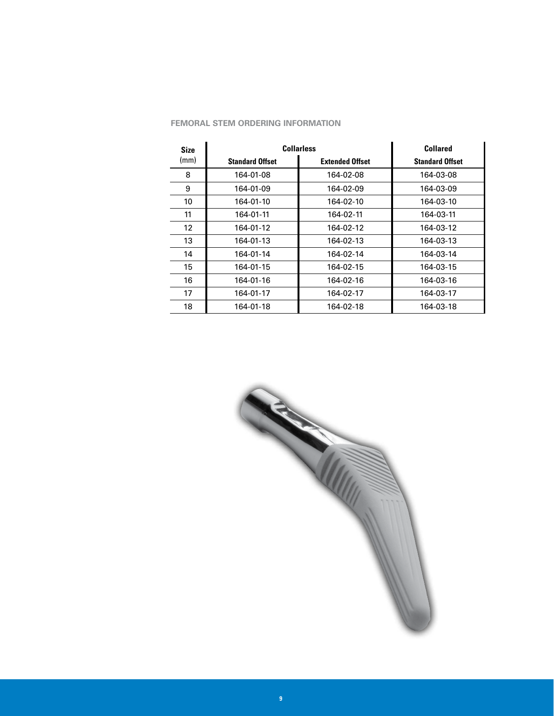| <b>FEMORAL STEM ORDERING INFORMATION</b> |  |  |  |  |
|------------------------------------------|--|--|--|--|
|------------------------------------------|--|--|--|--|

| <b>Size</b> | <b>Collarless</b>      | <b>Collared</b>        |                        |
|-------------|------------------------|------------------------|------------------------|
| (mm)        | <b>Standard Offset</b> | <b>Extended Offset</b> | <b>Standard Offset</b> |
| 8           | 164-01-08              | 164-02-08              | 164-03-08              |
| 9           | 164-01-09              | 164-02-09              | 164-03-09              |
| 10          | 164-01-10              | 164-02-10              | 164-03-10              |
| 11          | 164-01-11              | 164-02-11              | 164-03-11              |
| 12          | 164-01-12              | 164-02-12              | 164-03-12              |
| 13          | 164-01-13              | 164-02-13              | 164-03-13              |
| 14          | 164-01-14              | 164-02-14              | 164-03-14              |
| 15          | 164-01-15              | 164-02-15              | 164-03-15              |
| 16          | 164-01-16              | 164-02-16              | 164-03-16              |
| 17          | 164-01-17              | 164-02-17              | 164-03-17              |
| 18          | 164-01-18              | 164-02-18              | 164-03-18              |

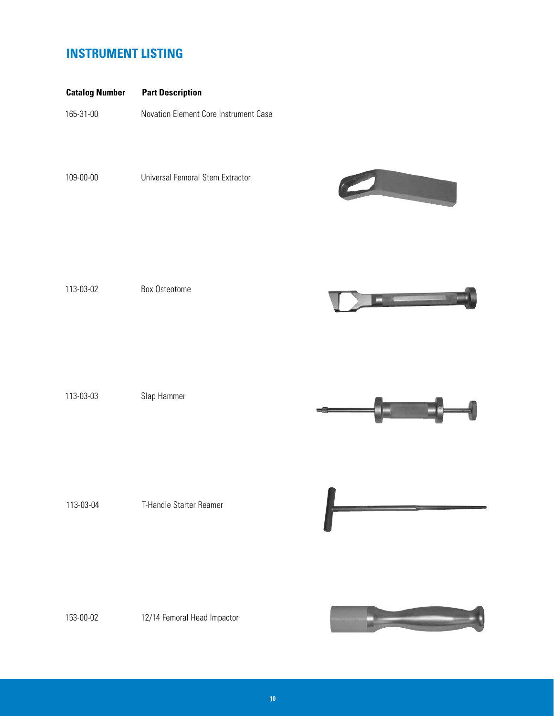# **INSTRUMENT LISTING**

| <b>Catalog Number</b> | <b>Part Description</b> |  |
|-----------------------|-------------------------|--|
|                       |                         |  |

165-31-00 Novation Element Core Instrument Case

109-00-00 Universal Femoral Stem Extractor



113-03-02 Box Osteotome



113-03-03 Slap Hammer



113-03-04 T-Handle Starter Reamer

153-00-02 12/14 Femoral Head Impactor

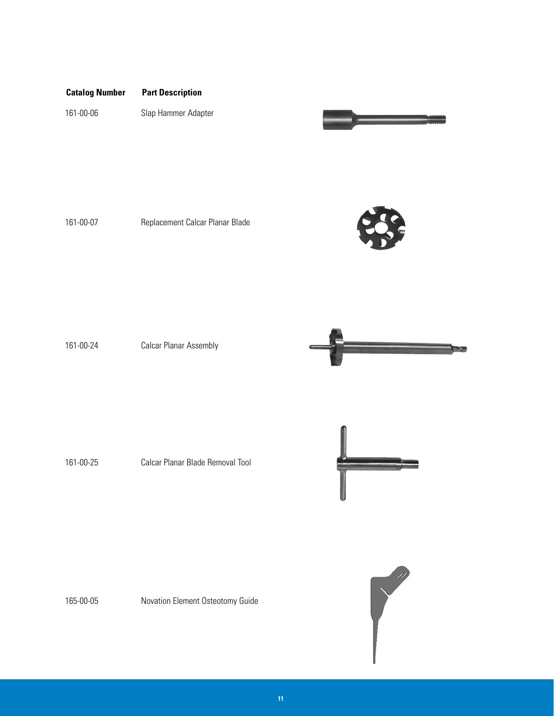# **Catalog Number Part Description**

161-00-06 Slap Hammer Adapter



161-00-07 Replacement Calcar Planar Blade



161-00-24 Calcar Planar Assembly



161-00-25 Calcar Planar Blade Removal Tool



165-00-05 Novation Element Osteotomy Guide

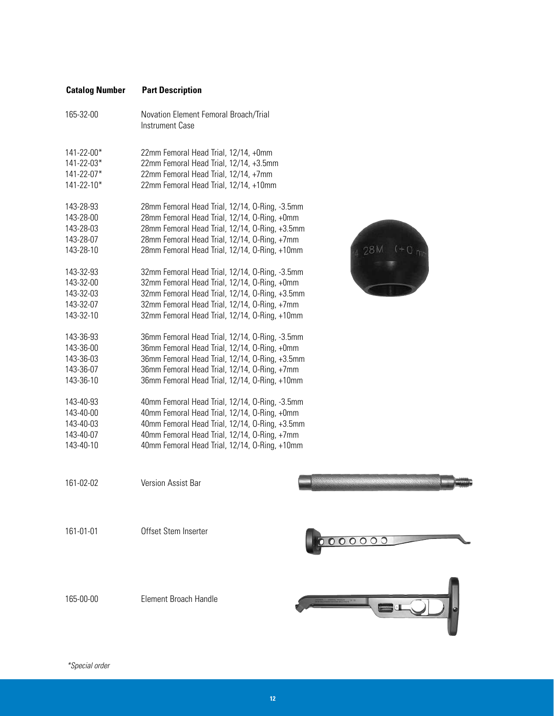| <b>Catalog Number</b>                                                                                                                                                                                                                                                                                                          | <b>Part Description</b>                                                                                                                                                                                                                                                                                                                                                                                                                                                                                                                                                                                                                                                                                                                                                                                                                                                                                                                                                                                                                                                                                                                                                                                |
|--------------------------------------------------------------------------------------------------------------------------------------------------------------------------------------------------------------------------------------------------------------------------------------------------------------------------------|--------------------------------------------------------------------------------------------------------------------------------------------------------------------------------------------------------------------------------------------------------------------------------------------------------------------------------------------------------------------------------------------------------------------------------------------------------------------------------------------------------------------------------------------------------------------------------------------------------------------------------------------------------------------------------------------------------------------------------------------------------------------------------------------------------------------------------------------------------------------------------------------------------------------------------------------------------------------------------------------------------------------------------------------------------------------------------------------------------------------------------------------------------------------------------------------------------|
| 165-32-00                                                                                                                                                                                                                                                                                                                      | Novation Element Femoral Broach/Trial<br><b>Instrument Case</b>                                                                                                                                                                                                                                                                                                                                                                                                                                                                                                                                                                                                                                                                                                                                                                                                                                                                                                                                                                                                                                                                                                                                        |
| 141-22-00*<br>141-22-03*<br>141-22-07*<br>$141 - 22 - 10*$<br>143-28-93<br>143-28-00<br>143-28-03<br>143-28-07<br>143-28-10<br>143-32-93<br>143-32-00<br>143-32-03<br>143-32-07<br>143-32-10<br>143-36-93<br>143-36-00<br>143-36-03<br>143-36-07<br>143-36-10<br>143-40-93<br>143-40-00<br>143-40-03<br>143-40-07<br>143-40-10 | 22mm Femoral Head Trial, 12/14, +0mm<br>22mm Femoral Head Trial, 12/14, +3.5mm<br>22mm Femoral Head Trial, 12/14, +7mm<br>22mm Femoral Head Trial, 12/14, +10mm<br>28mm Femoral Head Trial, 12/14, O-Ring, -3.5mm<br>28mm Femoral Head Trial, 12/14, O-Ring, +0mm<br>28mm Femoral Head Trial, 12/14, 0-Ring, +3.5mm<br>28mm Femoral Head Trial, 12/14, O-Ring, +7mm<br>28 <sub>N</sub><br>28mm Femoral Head Trial, 12/14, O-Ring, +10mm<br>32mm Femoral Head Trial, 12/14, O-Ring, -3.5mm<br>32mm Femoral Head Trial, 12/14, O-Ring, +0mm<br>32mm Femoral Head Trial, 12/14, 0-Ring, +3.5mm<br>32mm Femoral Head Trial, 12/14, O-Ring, +7mm<br>32mm Femoral Head Trial, 12/14, O-Ring, +10mm<br>36mm Femoral Head Trial, 12/14, O-Ring, -3.5mm<br>36mm Femoral Head Trial, 12/14, O-Ring, +0mm<br>36mm Femoral Head Trial, 12/14, O-Ring, +3.5mm<br>36mm Femoral Head Trial, 12/14, O-Ring, +7mm<br>36mm Femoral Head Trial, 12/14, O-Ring, +10mm<br>40mm Femoral Head Trial, 12/14, O-Ring, -3.5mm<br>40mm Femoral Head Trial, 12/14, O-Ring, +0mm<br>40mm Femoral Head Trial, 12/14, 0-Ring, +3.5mm<br>40mm Femoral Head Trial, 12/14, 0-Ring, +7mm<br>40mm Femoral Head Trial, 12/14, 0-Ring, +10mm |
| 161-02-02                                                                                                                                                                                                                                                                                                                      | <b>Version Assist Bar</b>                                                                                                                                                                                                                                                                                                                                                                                                                                                                                                                                                                                                                                                                                                                                                                                                                                                                                                                                                                                                                                                                                                                                                                              |
| 161-01-01                                                                                                                                                                                                                                                                                                                      | Offset Stem Inserter<br>00000                                                                                                                                                                                                                                                                                                                                                                                                                                                                                                                                                                                                                                                                                                                                                                                                                                                                                                                                                                                                                                                                                                                                                                          |



165-00-00 Element Broach Handle



 $28M + 0 m$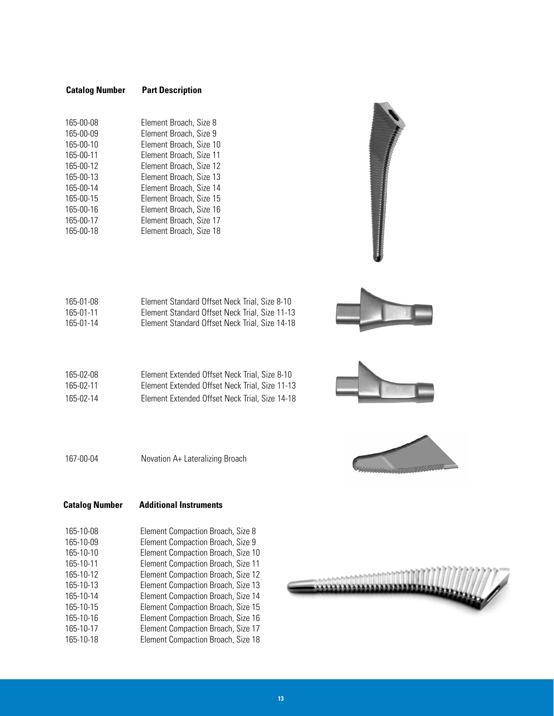## **Catalog Number Part Description**

| 165-00-08 | Element Broach, Size 8  |
|-----------|-------------------------|
| 165-00-09 | Element Broach, Size 9  |
| 165-00-10 | Element Broach, Size 10 |
| 165-00-11 | Element Broach, Size 11 |
| 165-00-12 | Element Broach, Size 12 |
| 165-00-13 | Element Broach, Size 13 |
| 165-00-14 | Element Broach, Size 14 |
| 165-00-15 | Element Broach, Size 15 |
| 165-00-16 | Element Broach, Size 16 |
| 165-00-17 | Element Broach, Size 17 |
| 165-00-18 | Element Broach, Size 18 |
|           |                         |

| 165-01-08 | Element Standard Offset Neck Trial, Size 8-10  |
|-----------|------------------------------------------------|
| 165-01-11 | Element Standard Offset Neck Trial, Size 11-13 |
| 165-01-14 | Element Standard Offset Neck Trial, Size 14-18 |

| 165-02-08 | Element Extended Offset Neck Trial, Size 8-10  |
|-----------|------------------------------------------------|
| 165-02-11 | Element Extended Offset Neck Trial, Size 11-13 |
| 165-02-14 | Element Extended Offset Neck Trial, Size 14-18 |







167-00-04 Novation A+ Lateralizing Broach

## **Catalog Number Additional Instruments**

| 165-10-08 | Element Compaction Broach, Size 8  |
|-----------|------------------------------------|
| 165-10-09 | Element Compaction Broach, Size 9  |
| 165-10-10 | Element Compaction Broach, Size 10 |
| 165-10-11 | Element Compaction Broach, Size 11 |
| 165-10-12 | Element Compaction Broach, Size 12 |
| 165-10-13 | Element Compaction Broach, Size 13 |
| 165-10-14 | Element Compaction Broach, Size 14 |
| 165-10-15 | Element Compaction Broach, Size 15 |
| 165-10-16 | Element Compaction Broach, Size 16 |
| 165-10-17 | Element Compaction Broach, Size 17 |
| 165-10-18 | Element Compaction Broach, Size 18 |
|           |                                    |